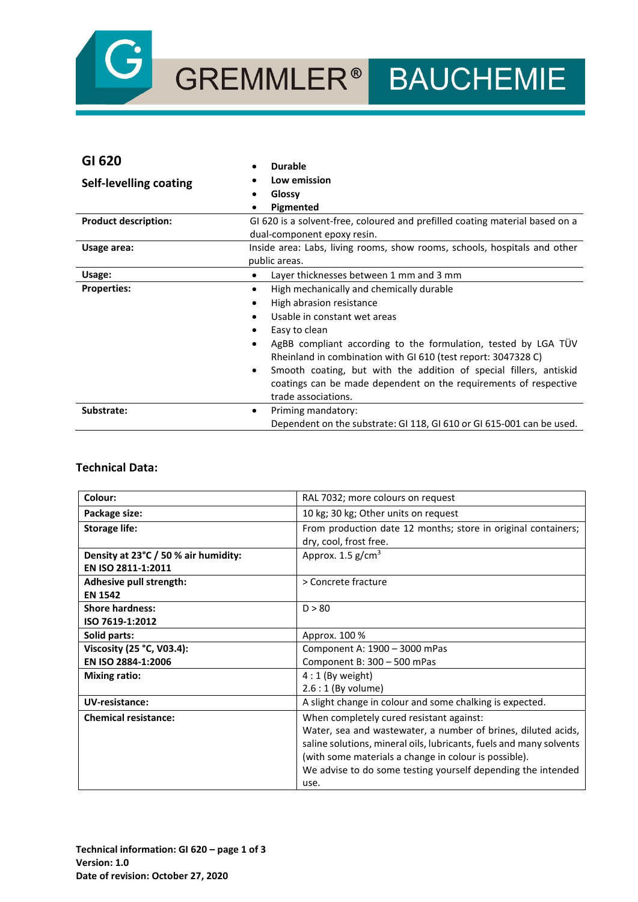

# GREMMLER® BAUCHEMIE

| GI 620                        | <b>Durable</b>                                                                                                                       |
|-------------------------------|--------------------------------------------------------------------------------------------------------------------------------------|
| <b>Self-levelling coating</b> | Low emission                                                                                                                         |
|                               | Glossy                                                                                                                               |
|                               | Pigmented                                                                                                                            |
| <b>Product description:</b>   | GI 620 is a solvent-free, coloured and prefilled coating material based on a                                                         |
|                               | dual-component epoxy resin.                                                                                                          |
| Usage area:                   | Inside area: Labs, living rooms, show rooms, schools, hospitals and other                                                            |
|                               | public areas.                                                                                                                        |
| Usage:                        | Layer thicknesses between 1 mm and 3 mm<br>$\bullet$                                                                                 |
| <b>Properties:</b>            | High mechanically and chemically durable<br>$\bullet$                                                                                |
|                               | High abrasion resistance<br>٠                                                                                                        |
|                               | Usable in constant wet areas                                                                                                         |
|                               | Easy to clean                                                                                                                        |
|                               | AgBB compliant according to the formulation, tested by LGA TUV<br>٠<br>Rheinland in combination with GI 610 (test report: 3047328 C) |
|                               | Smooth coating, but with the addition of special fillers, antiskid<br>$\bullet$                                                      |
|                               | coatings can be made dependent on the requirements of respective                                                                     |
|                               | trade associations.                                                                                                                  |
| Substrate:                    | Priming mandatory:<br>٠                                                                                                              |
|                               | Dependent on the substrate: GI 118, GI 610 or GI 615-001 can be used.                                                                |

### **Technical Data:**

| Colour:                                                    | RAL 7032; more colours on request                                                                                                                                                                                                                                                                                 |
|------------------------------------------------------------|-------------------------------------------------------------------------------------------------------------------------------------------------------------------------------------------------------------------------------------------------------------------------------------------------------------------|
| Package size:                                              | 10 kg; 30 kg; Other units on request                                                                                                                                                                                                                                                                              |
| <b>Storage life:</b>                                       | From production date 12 months; store in original containers;<br>dry, cool, frost free.                                                                                                                                                                                                                           |
| Density at 23°C / 50 % air humidity:<br>EN ISO 2811-1:2011 | Approx. $1.5$ g/cm <sup>3</sup>                                                                                                                                                                                                                                                                                   |
| Adhesive pull strength:<br><b>EN 1542</b>                  | > Concrete fracture                                                                                                                                                                                                                                                                                               |
| <b>Shore hardness:</b><br>ISO 7619-1:2012                  | D > 80                                                                                                                                                                                                                                                                                                            |
| Solid parts:                                               | Approx. 100 %                                                                                                                                                                                                                                                                                                     |
| Viscosity (25 °C, V03.4):<br>EN ISO 2884-1:2006            | Component A: 1900 - 3000 mPas<br>Component B: 300 - 500 mPas                                                                                                                                                                                                                                                      |
| <b>Mixing ratio:</b>                                       | $4:1$ (By weight)<br>$2.6:1$ (By volume)                                                                                                                                                                                                                                                                          |
| UV-resistance:                                             | A slight change in colour and some chalking is expected.                                                                                                                                                                                                                                                          |
| <b>Chemical resistance:</b>                                | When completely cured resistant against:<br>Water, sea and wastewater, a number of brines, diluted acids,<br>saline solutions, mineral oils, lubricants, fuels and many solvents<br>(with some materials a change in colour is possible).<br>We advise to do some testing yourself depending the intended<br>use. |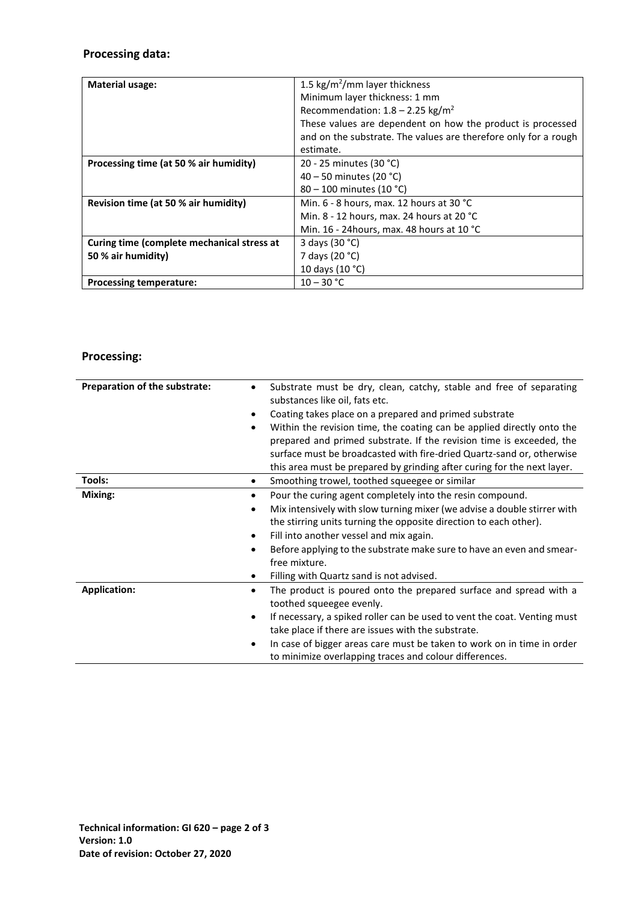## **Processing data:**

| <b>Material usage:</b>                     | 1.5 kg/m <sup>2</sup> /mm layer thickness                       |
|--------------------------------------------|-----------------------------------------------------------------|
|                                            |                                                                 |
|                                            | Minimum layer thickness: 1 mm                                   |
|                                            | Recommendation: $1.8 - 2.25$ kg/m <sup>2</sup>                  |
|                                            | These values are dependent on how the product is processed      |
|                                            | and on the substrate. The values are therefore only for a rough |
|                                            | estimate.                                                       |
| Processing time (at 50 % air humidity)     | 20 - 25 minutes (30 °C)                                         |
|                                            | 40 – 50 minutes (20 °C)                                         |
|                                            | $80 - 100$ minutes (10 °C)                                      |
| Revision time (at 50 % air humidity)       | Min. $6 - 8$ hours, max. 12 hours at 30 °C                      |
|                                            | Min. 8 - 12 hours, max. 24 hours at 20 $^{\circ}$ C             |
|                                            | Min. 16 - 24 hours, max. 48 hours at 10 °C                      |
| Curing time (complete mechanical stress at | 3 days (30 °C)                                                  |
| 50 % air humidity)                         | 7 days (20 °C)                                                  |
|                                            | 10 days (10 °C)                                                 |
| <b>Processing temperature:</b>             | $10 - 30 °C$                                                    |

# **Processing:**

| Preparation of the substrate:              | Substrate must be dry, clean, catchy, stable and free of separating<br>substances like oil, fats etc.<br>Coating takes place on a prepared and primed substrate<br>Within the revision time, the coating can be applied directly onto the<br>prepared and primed substrate. If the revision time is exceeded, the                                                                           |
|--------------------------------------------|---------------------------------------------------------------------------------------------------------------------------------------------------------------------------------------------------------------------------------------------------------------------------------------------------------------------------------------------------------------------------------------------|
|                                            | surface must be broadcasted with fire-dried Quartz-sand or, otherwise<br>this area must be prepared by grinding after curing for the next layer.                                                                                                                                                                                                                                            |
| Tools:                                     | Smoothing trowel, toothed squeegee or similar                                                                                                                                                                                                                                                                                                                                               |
| Mixing:<br>$\bullet$<br>$\bullet$          | Pour the curing agent completely into the resin compound.<br>Mix intensively with slow turning mixer (we advise a double stirrer with<br>the stirring units turning the opposite direction to each other).<br>Fill into another vessel and mix again.<br>Before applying to the substrate make sure to have an even and smear-<br>free mixture.<br>Filling with Quartz sand is not advised. |
| <b>Application:</b><br>$\bullet$<br>٠<br>٠ | The product is poured onto the prepared surface and spread with a<br>toothed squeegee evenly.<br>If necessary, a spiked roller can be used to vent the coat. Venting must<br>take place if there are issues with the substrate.<br>In case of bigger areas care must be taken to work on in time in order<br>to minimize overlapping traces and colour differences.                         |